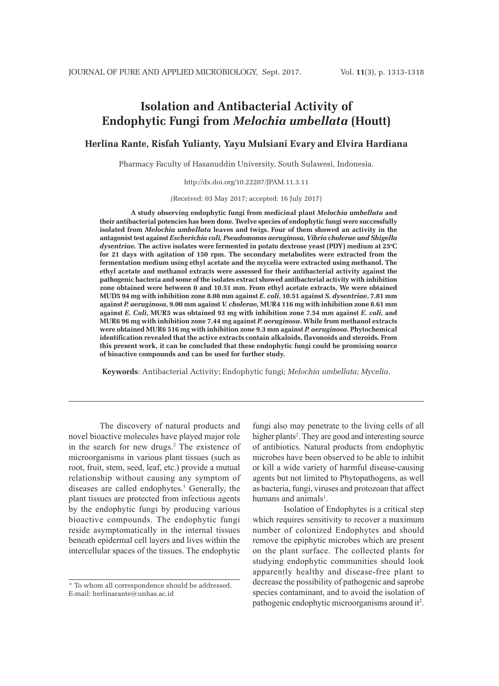# **Isolation and Antibacterial Activity of Endophytic Fungi from** *Melochia umbellata* **(Houtt)**

**Herlina Rante, Risfah Yulianty, Yayu Mulsiani Evary and Elvira Hardiana**

Pharmacy Faculty of Hasanuddin University, South Sulawesi, Indonesia.

http://dx.doi.org/10.22207/JPAM.11.3.11

(Received: 03 May 2017; accepted: 16 July 2017)

**A study observing endophytic fungi from medicinal plant** *Melochia umbellata* **and their antibacterial potencies has been done. Twelve species of endophytic fungi were successfully isolated from** *Melochia umbellata* **leaves and twigs. Four of them showed an activity in the antagonist test against** *Escherichia coli, Pseudomonas aeruginosa, Vibrio cholerae and Shigella*  dysentriae. The active isolates were fermented in potato dextrose yeast (PDY) medium at 25°C **for 21 days with agitation of 150 rpm. The secondary metabolites were extracted from the fermentation medium using ethyl acetate and the mycelia were extracted using methanol. The ethyl acetate and methanol extracts were assessed for their antibacterial activity against the pathogenic bacteria and some of the isolates extract showed antibacterial activity with inhibition zone obtained were between 0 and 10.51 mm. From ethyl acetate extracts, We were obtained MUD5 94 mg with inhibition zone 8.08 mm against** *E. coli***, 10.51 against** *S. dysentriae***, 7.81 mm against** *P. aeruginosa***, 9.00 mm against** *V. cholerae,* **MUR4 116 mg with inhibition zone 8.61 mm against** *E. Coli***, MUR5 was obtained 93 mg with inhibition zone 7.54 mm against** *E. coli***, and MUR6 96 mg with inhibition zone 7.44 mg against** *P. aeruginosa***. While from methanol extracts were obtained MUR6 516 mg with inhibition zone 9.3 mm against** *P. aeruginosa***. Phytochemical identification revealed that the active extracts contain alkaloids, flavonoids and steroids. From this present work, it can be concluded that these endophytic fungi could be promising source of bioactive compounds and can be used for further study.**

**Keywords**: Antibacterial Activity; Endophytic fungi; *Melochia umbellata; Mycelia*.

The discovery of natural products and novel bioactive molecules have played major role in the search for new drugs.2 The existence of microorganisms in various plant tissues (such as root, fruit, stem, seed, leaf, etc.) provide a mutual relationship without causing any symptom of diseases are called endophytes.<sup>1</sup> Generally, the plant tissues are protected from infectious agents by the endophytic fungi by producing various bioactive compounds. The endophytic fungi reside asymptomatically in the internal tissues beneath epidermal cell layers and lives within the intercellular spaces of the tissues. The endophytic

fungi also may penetrate to the living cells of all higher plants<sup>2</sup>. They are good and interesting source of antibiotics. Natural products from endophytic microbes have been observed to be able to inhibit or kill a wide variety of harmful disease-causing agents but not limited to Phytopathogens, as well as bacteria, fungi, viruses and protozoan that affect humans and animals<sup>1</sup>.

Isolation of Endophytes is a critical step which requires sensitivity to recover a maximum number of colonized Endophytes and should remove the epiphytic microbes which are present on the plant surface. The collected plants for studying endophytic communities should look apparently healthy and disease-free plant to decrease the possibility of pathogenic and saprobe species contaminant, and to avoid the isolation of pathogenic endophytic microorganisms around it<sup>2</sup>.

<sup>\*</sup> To whom all correspondence should be addressed. E-mail: herlinarante@unhas.ac.id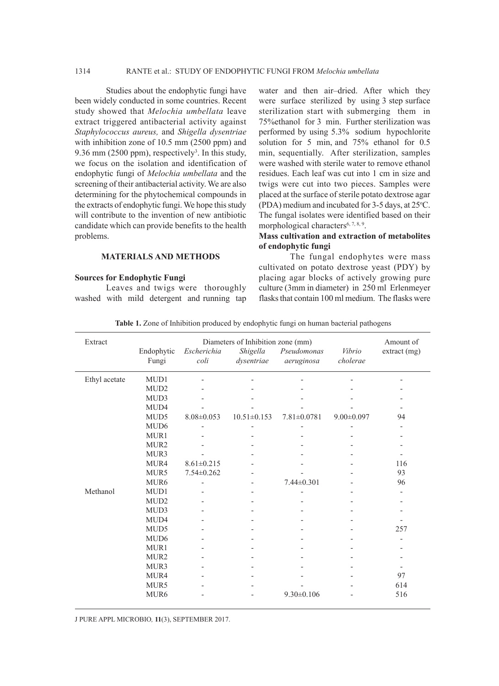Studies about the endophytic fungi have been widely conducted in some countries. Recent study showed that *Melochia umbellata* leave extract triggered antibacterial activity against *Staphylococcus aureus,* and *Shigella dysentriae*  with inhibition zone of 10.5 mm (2500 ppm) and 9.36 mm  $(2500 \text{ ppm})$ , respectively<sup>3</sup>. In this study, we focus on the isolation and identification of endophytic fungi of *Melochia umbellata* and the screening of their antibacterial activity. We are also determining for the phytochemical compounds in the extracts of endophytic fungi. We hope this study will contribute to the invention of new antibiotic candidate which can provide benefits to the health problems.

## **MATERIALS AND METHODS**

#### **Sources for Endophytic Fungi**

Leaves and twigs were thoroughly washed with mild detergent and running tap water and then air–dried. After which they were surface sterilized by using 3 step surface sterilization start with submerging them in 75%ethanol for 3 min. Further sterilization was performed by using 5.3% sodium hypochlorite solution for 5 min, and 75% ethanol for 0.5 min, sequentially. After sterilization, samples were washed with sterile water to remove ethanol residues. Each leaf was cut into 1 cm in size and twigs were cut into two pieces. Samples were placed at the surface of sterile potato dextrose agar (PDA) medium and incubated for 3-5 days, at 25 °C. The fungal isolates were identified based on their morphological characters<sup>6, 7, 8, 9</sup>.

## **Mass cultivation and extraction of metabolites of endophytic fungi**

The fungal endophytes were mass cultivated on potato dextrose yeast (PDY) by placing agar blocks of actively growing pure culture (3mm in diameter) in 250 ml Erlenmeyer flasks that contain 100 ml medium. The flasks were

| Table 1. Zone of Inhibition produced by endophytic fungi on human bacterial pathogens |  |  |  |  |
|---------------------------------------------------------------------------------------|--|--|--|--|
|---------------------------------------------------------------------------------------|--|--|--|--|

| Extract       |                  | Amount of        |                                               |                   |                  |              |
|---------------|------------------|------------------|-----------------------------------------------|-------------------|------------------|--------------|
|               | Endophytic       | Escherichia      | Diameters of Inhibition zone (mm)<br>Shigella | Pseudomonas       | Vibrio           | extract (mg) |
|               | Fungi            | $\text{coli}$    | dysentriae                                    | aeruginosa        | cholerae         |              |
| Ethyl acetate | MUD1             |                  |                                               |                   |                  |              |
|               | MUD <sub>2</sub> |                  |                                               |                   |                  |              |
|               | MUD3             |                  |                                               |                   |                  |              |
|               | MUD4             |                  |                                               |                   |                  |              |
|               | MUD <sub>5</sub> | $8.08 \pm 0.053$ | $10.51 \pm 0.153$                             | $7.81 \pm 0.0781$ | $9.00 \pm 0.097$ | 94           |
|               | MUD <sub>6</sub> |                  |                                               |                   |                  |              |
|               | MUR1             |                  |                                               |                   |                  |              |
|               | MUR <sub>2</sub> |                  |                                               |                   |                  |              |
|               | MUR3             |                  |                                               |                   |                  |              |
|               | MUR4             | $8.61 \pm 0.215$ |                                               |                   |                  | 116          |
|               | MUR5             | $7.54 \pm 0.262$ |                                               |                   |                  | 93           |
|               | MUR <sub>6</sub> |                  |                                               | $7.44 \pm 0.301$  |                  | 96           |
| Methanol      | MUD1             |                  |                                               |                   |                  |              |
|               | MUD <sub>2</sub> |                  |                                               |                   |                  |              |
|               | MUD3             |                  |                                               |                   |                  |              |
|               | MUD4             |                  |                                               |                   |                  |              |
|               | MUD <sub>5</sub> |                  |                                               |                   |                  | 257          |
|               | MUD <sub>6</sub> |                  |                                               |                   |                  |              |
|               | MUR1             |                  |                                               |                   |                  |              |
|               | MUR <sub>2</sub> |                  |                                               |                   |                  |              |
|               | MUR3             |                  |                                               |                   |                  |              |
|               | MUR4             |                  |                                               |                   |                  | 97           |
|               | MUR5             |                  |                                               |                   |                  | 614          |
|               | MUR <sub>6</sub> |                  |                                               | $9.30 \pm 0.106$  |                  | 516          |

J PURE APPL MICROBIO*,* **11**(3), SEPTEMBER 2017.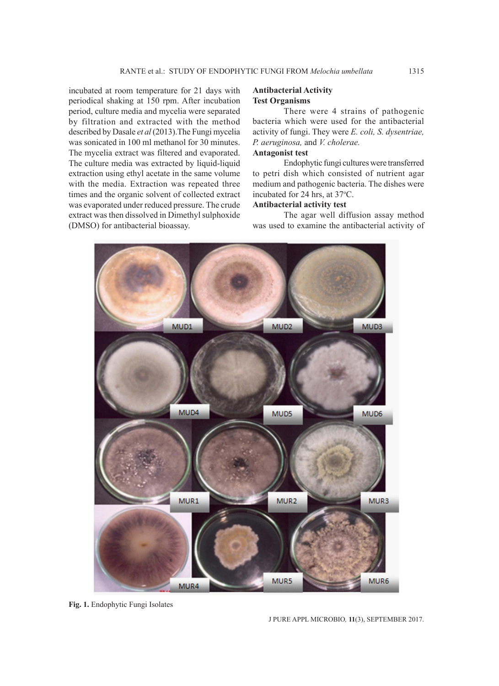incubated at room temperature for 21 days with periodical shaking at 150 rpm. After incubation period, culture media and mycelia were separated by filtration and extracted with the method described by Dasale *et al* (2013).The Fungi mycelia was sonicated in 100 ml methanol for 30 minutes. The mycelia extract was filtered and evaporated. The culture media was extracted by liquid-liquid extraction using ethyl acetate in the same volume with the media. Extraction was repeated three times and the organic solvent of collected extract was evaporated under reduced pressure. The crude extract was then dissolved in Dimethyl sulphoxide (DMSO) for antibacterial bioassay.

## **Antibacterial Activity Test Organisms**

There were 4 strains of pathogenic bacteria which were used for the antibacterial activity of fungi. They were *E. coli, S. dysentriae, P. aeruginosa,* and *V. cholerae.*

## **Antagonist test**

Endophytic fungi cultures were transferred to petri dish which consisted of nutrient agar medium and pathogenic bacteria. The dishes were incubated for 24 hrs, at 37°C.

## **Antibacterial activity test**

The agar well diffusion assay method was used to examine the antibacterial activity of



**Fig. 1.** Endophytic Fungi Isolates

J PURE APPL MICROBIO*,* **11**(3), SEPTEMBER 2017.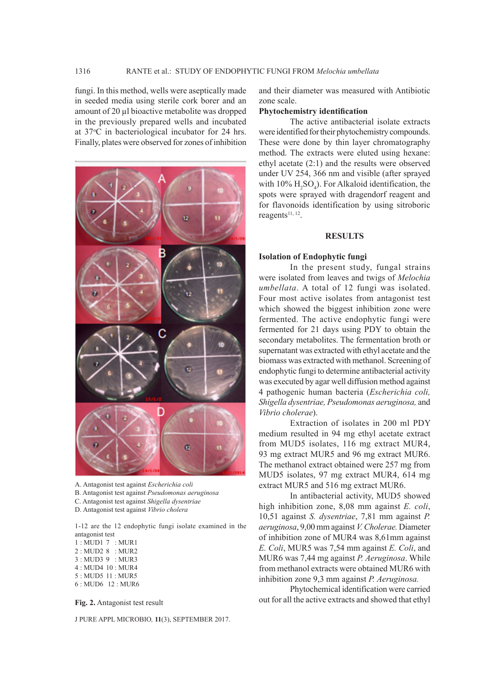fungi. In this method, wells were aseptically made in seeded media using sterile cork borer and an amount of 20 µl bioactive metabolite was dropped in the previously prepared wells and incubated at 37°C in bacteriological incubator for 24 hrs. Finally, plates were observed for zones of inhibition



A. Antagonist test against *Escherichia coli*

B. Antagonist test against *Pseudomonas aeruginosa*

C. Antagonist test against *Shigella dysentriae*

D. Antagonist test against *Vibrio cholera*

1-12 are the 12 endophytic fungi isolate examined in the antagonist test

1 : MUD1 7 : MUR1 2 : MUD2 8 : MUR2 3 : MUD3 9 : MUR3 4 : MUD4 10 : MUR4 5 : MUD5 11 : MUR5 6 : MUD6 12 : MUR6

**Fig. 2.** Antagonist test result

J PURE APPL MICROBIO*,* **11**(3), SEPTEMBER 2017.

and their diameter was measured with Antibiotic zone scale.

#### **Phytochemistry identification**

The active antibacterial isolate extracts were identified for their phytochemistry compounds. These were done by thin layer chromatography method. The extracts were eluted using hexane: ethyl acetate (2:1) and the results were observed under UV 254, 366 nm and visible (after sprayed with  $10\%$  H<sub>2</sub>SO<sub>4</sub>). For Alkaloid identification, the spots were sprayed with dragendorf reagent and for flavonoids identification by using sitroboric reagents<sup>11, 12</sup>.

#### **RESULTS**

## **Isolation of Endophytic fungi**

In the present study, fungal strains were isolated from leaves and twigs of *Melochia umbellata*. A total of 12 fungi was isolated. Four most active isolates from antagonist test which showed the biggest inhibition zone were fermented. The active endophytic fungi were fermented for 21 days using PDY to obtain the secondary metabolites. The fermentation broth or supernatant was extracted with ethyl acetate and the biomass was extracted with methanol. Screening of endophytic fungi to determine antibacterial activity was executed by agar well diffusion method against 4 pathogenic human bacteria (*Escherichia coli, Shigella dysentriae, Pseudomonas aeruginosa,* and *Vibrio cholerae*).

Extraction of isolates in 200 ml PDY medium resulted in 94 mg ethyl acetate extract from MUD5 isolates, 116 mg extract MUR4, 93 mg extract MUR5 and 96 mg extract MUR6. The methanol extract obtained were 257 mg from MUD5 isolates, 97 mg extract MUR4, 614 mg extract MUR5 and 516 mg extract MUR6.

In antibacterial activity, MUD5 showed high inhibition zone, 8,08 mm against *E. coli*, 10,51 against *S. dysentriae*, 7,81 mm against *P. aeruginosa*, 9,00 mm against *V. Cholerae.* Diameter of inhibition zone of MUR4 was 8,61mm against *E. Coli*, MUR5 was 7,54 mm against *E. Coli*, and MUR6 was 7,44 mg against *P. Aeruginosa*. While from methanol extracts were obtained MUR6 with inhibition zone 9,3 mm against *P. Aeruginosa.*

Phytochemical identification were carried out for all the active extracts and showed that ethyl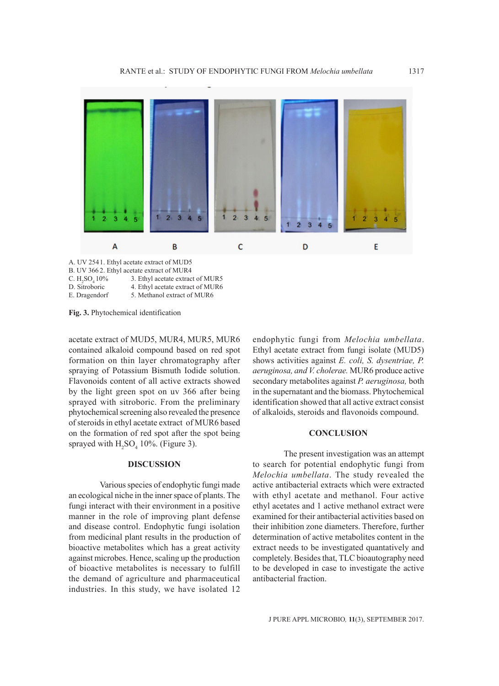

A. UV 2541. Ethyl acetate extract of MUD5 B. UV 366 2. Ethyl acetate extract of MUR4

- C.  $H_2SO_4 10\%$ <br>D. Sitroboric 3. Ethyl acetate extract of MUR5
- 4. Ethyl acetate extract of MUR6

E. Dragendorf 5. Methanol extract of MUR6

**Fig. 3.** Phytochemical identification

acetate extract of MUD5, MUR4, MUR5, MUR6 contained alkaloid compound based on red spot formation on thin layer chromatography after spraying of Potassium Bismuth Iodide solution. Flavonoids content of all active extracts showed by the light green spot on uv 366 after being sprayed with sitroboric. From the preliminary phytochemical screening also revealed the presence of steroids in ethyl acetate extract of MUR6 based on the formation of red spot after the spot being sprayed with  $H_2SO_4$  10%. (Figure 3).

#### **DISCUSSION**

Various species of endophytic fungi made an ecological niche in the inner space of plants. The fungi interact with their environment in a positive manner in the role of improving plant defense and disease control. Endophytic fungi isolation from medicinal plant results in the production of bioactive metabolites which has a great activity against microbes. Hence, scaling up the production of bioactive metabolites is necessary to fulfill the demand of agriculture and pharmaceutical industries. In this study, we have isolated 12

endophytic fungi from *Melochia umbellata*. Ethyl acetate extract from fungi isolate (MUD5) shows activities against *E. coli, S. dysentriae, P. aeruginosa, and V. cholerae.* MUR6 produce active secondary metabolites against *P. aeruginosa,* both in the supernatant and the biomass. Phytochemical identification showed that all active extract consist of alkaloids, steroids and flavonoids compound.

#### **CONCLUSION**

The present investigation was an attempt to search for potential endophytic fungi from *Melochia umbellata*. The study revealed the active antibacterial extracts which were extracted with ethyl acetate and methanol. Four active ethyl acetates and 1 active methanol extract were examined for their antibacterial activities based on their inhibition zone diameters. Therefore, further determination of active metabolites content in the extract needs to be investigated quantatively and completely. Besides that, TLC bioautography need to be developed in case to investigate the active antibacterial fraction.